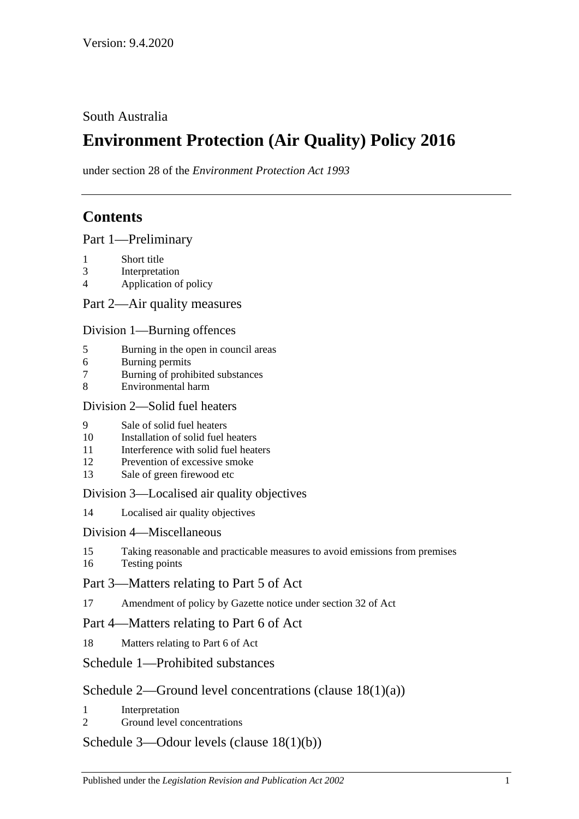South Australia

# **Environment Protection (Air Quality) Policy 2016**

under section 28 of the *Environment Protection Act 1993*

## **Contents**

Part [1—Preliminary](#page-1-0)

- 1 [Short title](#page-1-1)
- 3 [Interpretation](#page-1-2)
- 4 [Application of policy](#page-3-0)

Part [2—Air quality measures](#page-4-0)

Division [1—Burning offences](#page-4-1)

- 5 [Burning in the open in council areas](#page-4-2)
- 6 [Burning permits](#page-5-0)
- 7 [Burning of prohibited substances](#page-7-0)
- 8 [Environmental harm](#page-7-1)

#### Division [2—Solid fuel heaters](#page-7-2)

- 9 [Sale of solid fuel heaters](#page-7-3)
- 10 [Installation of solid fuel heaters](#page-7-4)
- 11 [Interference with solid fuel heaters](#page-8-0)
- 12 [Prevention of excessive smoke](#page-8-1)
- 13 [Sale of green firewood etc](#page-8-2)

#### Division [3—Localised air quality objectives](#page-9-0)

14 [Localised air quality objectives](#page-9-1)

#### Division [4—Miscellaneous](#page-10-0)

- 15 [Taking reasonable and practicable measures to avoid emissions from premises](#page-10-1)
- 16 [Testing points](#page-10-2)

## Part [3—Matters relating to Part 5 of Act](#page-10-3)

17 [Amendment of policy by Gazette notice under section](#page-10-4) 32 of Act

## Part [4—Matters relating to Part 6 of Act](#page-11-0)

18 [Matters relating to Part 6 of Act](#page-11-1)

## Schedule [1—Prohibited substances](#page-12-0)

## Schedule [2—Ground level concentrations \(clause](#page-13-0) [18\(1\)\(a\)\)](#page-13-0)

- 1 [Interpretation](#page-13-1)
- 2 [Ground level concentrations](#page-13-2)

#### Schedule [3—Odour levels \(clause](#page-20-0) [18\(1\)\(b\)\)](#page-20-0)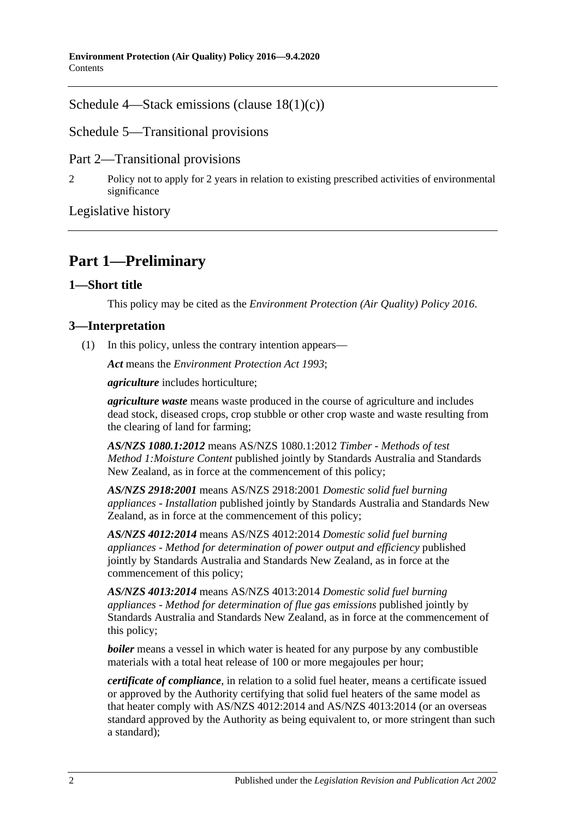Schedule [4—Stack emissions \(clause](#page-20-1) [18\(1\)\(c\)\)](#page-20-1)

Schedule [5—Transitional provisions](#page-22-0)

Part 2—Transitional provisions

2 [Policy not to apply for 2 years in relation to existing prescribed activities of environmental](#page-22-1)  [significance](#page-22-1)

[Legislative history](#page-23-0)

## <span id="page-1-0"></span>**Part 1—Preliminary**

### <span id="page-1-1"></span>**1—Short title**

This policy may be cited as the *[Environment Protection \(Air Quality\) Policy](http://www.legislation.sa.gov.au/index.aspx?action=legref&type=subordleg&legtitle=Environment%20Protection%20(Air%20Quality)%20Policy%202016) 2016*.

### <span id="page-1-2"></span>**3—Interpretation**

(1) In this policy, unless the contrary intention appears—

*Act* means the *[Environment Protection Act](http://www.legislation.sa.gov.au/index.aspx?action=legref&type=act&legtitle=Environment%20Protection%20Act%201993) 1993*;

*agriculture* includes horticulture;

*agriculture waste* means waste produced in the course of agriculture and includes dead stock, diseased crops, crop stubble or other crop waste and waste resulting from the clearing of land for farming;

*AS/NZS 1080.1:2012* means AS/NZS 1080.1:2012 *Timber - Methods of test Method 1:Moisture Content* published jointly by Standards Australia and Standards New Zealand, as in force at the commencement of this policy;

*AS/NZS 2918:2001* means AS/NZS 2918:2001 *Domestic solid fuel burning appliances - Installation* published jointly by Standards Australia and Standards New Zealand, as in force at the commencement of this policy;

*AS/NZS 4012:2014* means AS/NZS 4012:2014 *Domestic solid fuel burning appliances - Method for determination of power output and efficiency* published jointly by Standards Australia and Standards New Zealand, as in force at the commencement of this policy;

*AS/NZS 4013:2014* means AS/NZS 4013:2014 *Domestic solid fuel burning appliances - Method for determination of flue gas emissions* published jointly by Standards Australia and Standards New Zealand, as in force at the commencement of this policy;

*boiler* means a vessel in which water is heated for any purpose by any combustible materials with a total heat release of 100 or more megajoules per hour;

*certificate of compliance*, in relation to a solid fuel heater, means a certificate issued or approved by the Authority certifying that solid fuel heaters of the same model as that heater comply with AS/NZS 4012:2014 and AS/NZS 4013:2014 (or an overseas standard approved by the Authority as being equivalent to, or more stringent than such a standard);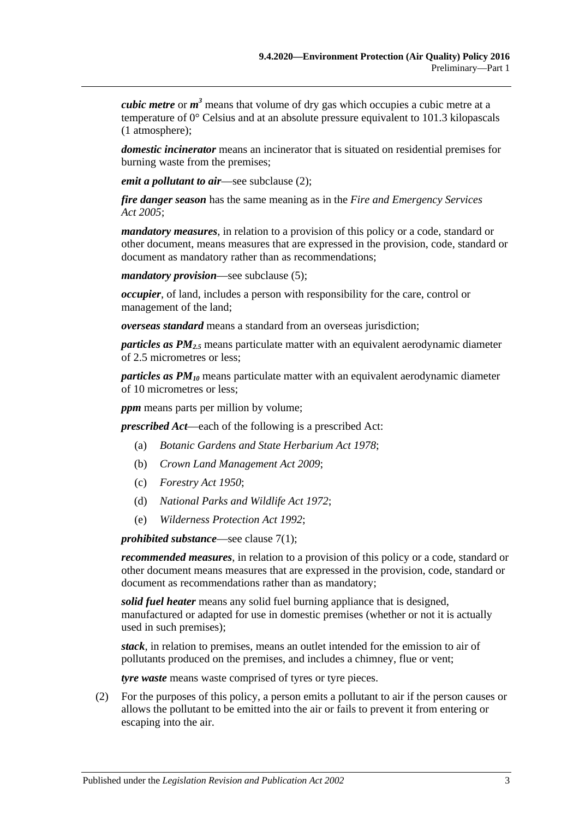*cubic metre* or *m <sup>3</sup>* means that volume of dry gas which occupies a cubic metre at a temperature of 0° Celsius and at an absolute pressure equivalent to 101.3 kilopascals (1 atmosphere);

*domestic incinerator* means an incinerator that is situated on residential premises for burning waste from the premises;

*emit a pollutant to air*—see [subclause](#page-2-0) (2);

*fire danger season* has the same meaning as in the *[Fire and Emergency Services](http://www.legislation.sa.gov.au/index.aspx?action=legref&type=act&legtitle=Fire%20and%20Emergency%20Services%20Act%202005)  Act [2005](http://www.legislation.sa.gov.au/index.aspx?action=legref&type=act&legtitle=Fire%20and%20Emergency%20Services%20Act%202005)*;

*mandatory measures*, in relation to a provision of this policy or a code, standard or other document, means measures that are expressed in the provision, code, standard or document as mandatory rather than as recommendations;

*mandatory provision*—see [subclause](#page-3-1) (5);

*occupier*, of land, includes a person with responsibility for the care, control or management of the land;

*overseas standard* means a standard from an overseas jurisdiction;

*particles as PM2.5* means particulate matter with an equivalent aerodynamic diameter of 2.5 micrometres or less;

*particles as PM10* means particulate matter with an equivalent aerodynamic diameter of 10 micrometres or less;

*ppm* means parts per million by volume;

*prescribed Act*—each of the following is a prescribed Act:

- (a) *[Botanic Gardens and State Herbarium Act](http://www.legislation.sa.gov.au/index.aspx?action=legref&type=act&legtitle=Botanic%20Gardens%20and%20State%20Herbarium%20Act%201978) 1978*;
- (b) *[Crown Land Management Act](http://www.legislation.sa.gov.au/index.aspx?action=legref&type=act&legtitle=Crown%20Land%20Management%20Act%202009) 2009*;
- (c) *[Forestry Act](http://www.legislation.sa.gov.au/index.aspx?action=legref&type=act&legtitle=Forestry%20Act%201950) 1950*;
- (d) *[National Parks and Wildlife Act](http://www.legislation.sa.gov.au/index.aspx?action=legref&type=act&legtitle=National%20Parks%20and%20Wildlife%20Act%201972) 1972*;
- (e) *[Wilderness Protection Act](http://www.legislation.sa.gov.au/index.aspx?action=legref&type=act&legtitle=Wilderness%20Protection%20Act%201992) 1992*;

*prohibited substance*—see [clause](#page-7-5) 7(1);

*recommended measures*, in relation to a provision of this policy or a code, standard or other document means measures that are expressed in the provision, code, standard or document as recommendations rather than as mandatory;

*solid fuel heater* means any solid fuel burning appliance that is designed, manufactured or adapted for use in domestic premises (whether or not it is actually used in such premises);

*stack*, in relation to premises, means an outlet intended for the emission to air of pollutants produced on the premises, and includes a chimney, flue or vent;

*tyre waste* means waste comprised of tyres or tyre pieces.

<span id="page-2-0"></span>(2) For the purposes of this policy, a person emits a pollutant to air if the person causes or allows the pollutant to be emitted into the air or fails to prevent it from entering or escaping into the air.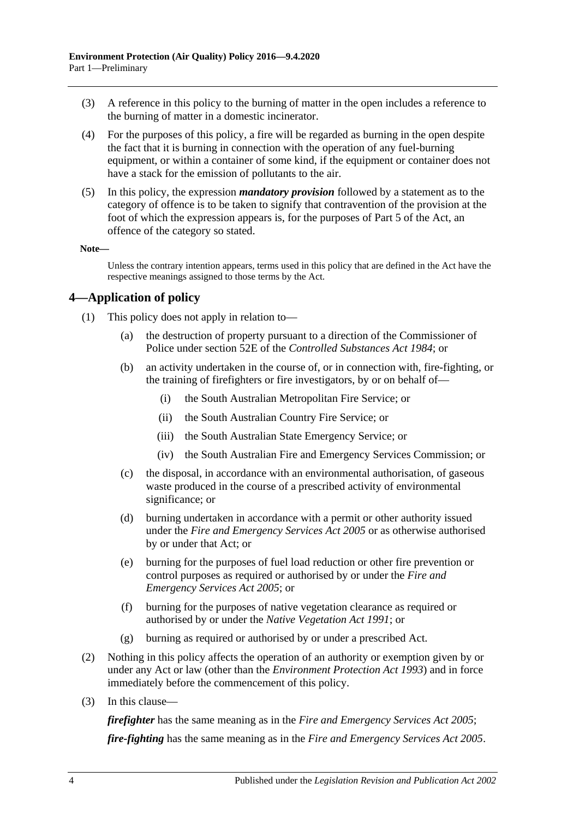- (3) A reference in this policy to the burning of matter in the open includes a reference to the burning of matter in a domestic incinerator.
- (4) For the purposes of this policy, a fire will be regarded as burning in the open despite the fact that it is burning in connection with the operation of any fuel-burning equipment, or within a container of some kind, if the equipment or container does not have a stack for the emission of pollutants to the air.
- <span id="page-3-1"></span>(5) In this policy, the expression *mandatory provision* followed by a statement as to the category of offence is to be taken to signify that contravention of the provision at the foot of which the expression appears is, for the purposes of Part 5 of the Act, an offence of the category so stated.

#### **Note—**

Unless the contrary intention appears, terms used in this policy that are defined in the Act have the respective meanings assigned to those terms by the Act.

## <span id="page-3-0"></span>**4—Application of policy**

- (1) This policy does not apply in relation to—
	- (a) the destruction of property pursuant to a direction of the Commissioner of Police under section 52E of the *[Controlled Substances Act](http://www.legislation.sa.gov.au/index.aspx?action=legref&type=act&legtitle=Controlled%20Substances%20Act%201984) 1984*; or
	- (b) an activity undertaken in the course of, or in connection with, fire-fighting, or the training of firefighters or fire investigators, by or on behalf of—
		- (i) the South Australian Metropolitan Fire Service; or
		- (ii) the South Australian Country Fire Service; or
		- (iii) the South Australian State Emergency Service; or
		- (iv) the South Australian Fire and Emergency Services Commission; or
	- (c) the disposal, in accordance with an environmental authorisation, of gaseous waste produced in the course of a prescribed activity of environmental significance; or
	- (d) burning undertaken in accordance with a permit or other authority issued under the *[Fire and Emergency Services Act](http://www.legislation.sa.gov.au/index.aspx?action=legref&type=act&legtitle=Fire%20and%20Emergency%20Services%20Act%202005) 2005* or as otherwise authorised by or under that Act; or
	- (e) burning for the purposes of fuel load reduction or other fire prevention or control purposes as required or authorised by or under the *[Fire and](http://www.legislation.sa.gov.au/index.aspx?action=legref&type=act&legtitle=Fire%20and%20Emergency%20Services%20Act%202005)  [Emergency Services Act](http://www.legislation.sa.gov.au/index.aspx?action=legref&type=act&legtitle=Fire%20and%20Emergency%20Services%20Act%202005) 2005*; or
	- (f) burning for the purposes of native vegetation clearance as required or authorised by or under the *[Native Vegetation Act](http://www.legislation.sa.gov.au/index.aspx?action=legref&type=act&legtitle=Native%20Vegetation%20Act%201991) 1991*; or
	- (g) burning as required or authorised by or under a prescribed Act.
- (2) Nothing in this policy affects the operation of an authority or exemption given by or under any Act or law (other than the *[Environment Protection Act](http://www.legislation.sa.gov.au/index.aspx?action=legref&type=act&legtitle=Environment%20Protection%20Act%201993) 1993*) and in force immediately before the commencement of this policy.
- (3) In this clause—

*firefighter* has the same meaning as in the *[Fire and Emergency Services Act](http://www.legislation.sa.gov.au/index.aspx?action=legref&type=act&legtitle=Fire%20and%20Emergency%20Services%20Act%202005) 2005*;

*fire-fighting* has the same meaning as in the *[Fire and Emergency Services Act](http://www.legislation.sa.gov.au/index.aspx?action=legref&type=act&legtitle=Fire%20and%20Emergency%20Services%20Act%202005) 2005*.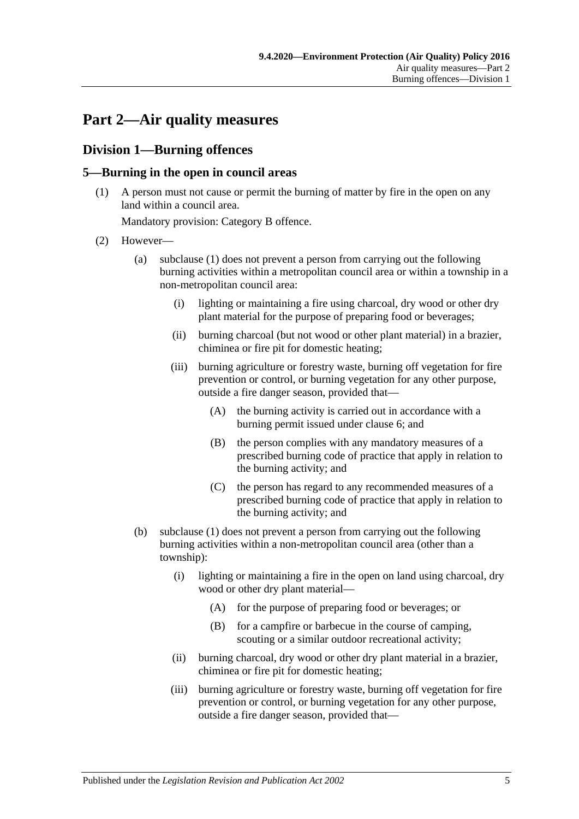## <span id="page-4-0"></span>**Part 2—Air quality measures**

## <span id="page-4-1"></span>**Division 1—Burning offences**

### <span id="page-4-3"></span><span id="page-4-2"></span>**5—Burning in the open in council areas**

(1) A person must not cause or permit the burning of matter by fire in the open on any land within a council area.

Mandatory provision: Category B offence.

- <span id="page-4-5"></span><span id="page-4-4"></span>(2) However—
	- (a) [subclause](#page-4-3) (1) does not prevent a person from carrying out the following burning activities within a metropolitan council area or within a township in a non-metropolitan council area:
		- (i) lighting or maintaining a fire using charcoal, dry wood or other dry plant material for the purpose of preparing food or beverages;
		- (ii) burning charcoal (but not wood or other plant material) in a brazier, chiminea or fire pit for domestic heating;
		- (iii) burning agriculture or forestry waste, burning off vegetation for fire prevention or control, or burning vegetation for any other purpose, outside a fire danger season, provided that—
			- (A) the burning activity is carried out in accordance with a burning permit issued under [clause](#page-5-0) 6; and
			- (B) the person complies with any mandatory measures of a prescribed burning code of practice that apply in relation to the burning activity; and
			- (C) the person has regard to any recommended measures of a prescribed burning code of practice that apply in relation to the burning activity; and
	- (b) [subclause](#page-4-3) (1) does not prevent a person from carrying out the following burning activities within a non-metropolitan council area (other than a township):
		- (i) lighting or maintaining a fire in the open on land using charcoal, dry wood or other dry plant material—
			- (A) for the purpose of preparing food or beverages; or
			- (B) for a campfire or barbecue in the course of camping, scouting or a similar outdoor recreational activity;
		- (ii) burning charcoal, dry wood or other dry plant material in a brazier, chiminea or fire pit for domestic heating;
		- (iii) burning agriculture or forestry waste, burning off vegetation for fire prevention or control, or burning vegetation for any other purpose, outside a fire danger season, provided that—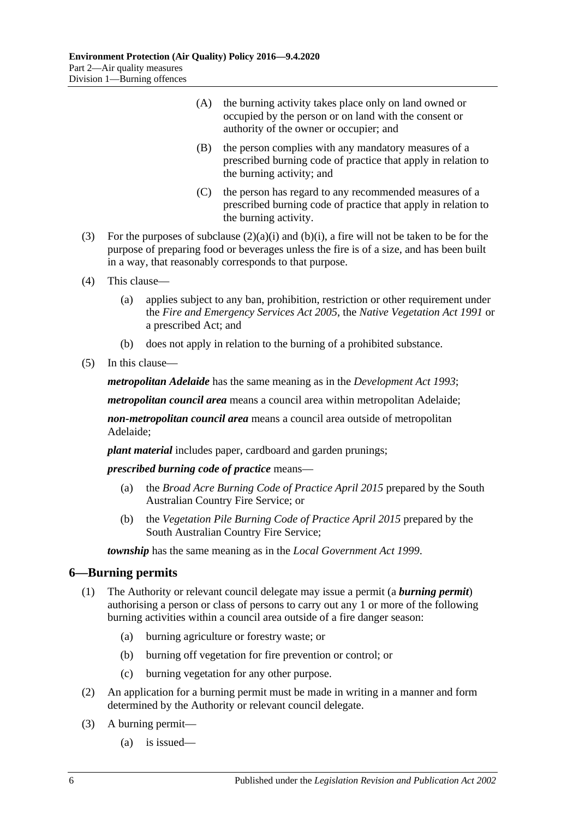- (A) the burning activity takes place only on land owned or occupied by the person or on land with the consent or authority of the owner or occupier; and
- (B) the person complies with any mandatory measures of a prescribed burning code of practice that apply in relation to the burning activity; and
- (C) the person has regard to any recommended measures of a prescribed burning code of practice that apply in relation to the burning activity.
- (3) For the purposes of [subclause](#page-4-4)  $(2)(a)(i)$  and  $(b)(i)$ , a fire will not be taken to be for the purpose of preparing food or beverages unless the fire is of a size, and has been built in a way, that reasonably corresponds to that purpose.
- (4) This clause—
	- (a) applies subject to any ban, prohibition, restriction or other requirement under the *Fire [and Emergency Services Act](http://www.legislation.sa.gov.au/index.aspx?action=legref&type=act&legtitle=Fire%20and%20Emergency%20Services%20Act%202005) 2005*, the *[Native Vegetation Act](http://www.legislation.sa.gov.au/index.aspx?action=legref&type=act&legtitle=Native%20Vegetation%20Act%201991) 1991* or a prescribed Act; and
	- (b) does not apply in relation to the burning of a prohibited substance.
- (5) In this clause—

*metropolitan Adelaide* has the same meaning as in the *[Development Act](http://www.legislation.sa.gov.au/index.aspx?action=legref&type=act&legtitle=Development%20Act%201993) 1993*;

*metropolitan council area* means a council area within metropolitan Adelaide;

*non-metropolitan council area* means a council area outside of metropolitan Adelaide;

*plant material* includes paper, cardboard and garden prunings;

*prescribed burning code of practice* means—

- (a) the *Broad Acre Burning Code of Practice April 2015* prepared by the South Australian Country Fire Service; or
- (b) the *Vegetation Pile Burning Code of Practice April 2015* prepared by the South Australian Country Fire Service;

*township* has the same meaning as in the *[Local Government Act](http://www.legislation.sa.gov.au/index.aspx?action=legref&type=act&legtitle=Local%20Government%20Act%201999) 1999*.

#### <span id="page-5-0"></span>**6—Burning permits**

- (1) The Authority or relevant council delegate may issue a permit (a *burning permit*) authorising a person or class of persons to carry out any 1 or more of the following burning activities within a council area outside of a fire danger season:
	- (a) burning agriculture or forestry waste; or
	- (b) burning off vegetation for fire prevention or control; or
	- (c) burning vegetation for any other purpose.
- (2) An application for a burning permit must be made in writing in a manner and form determined by the Authority or relevant council delegate.
- <span id="page-5-1"></span>(3) A burning permit—
	- (a) is issued—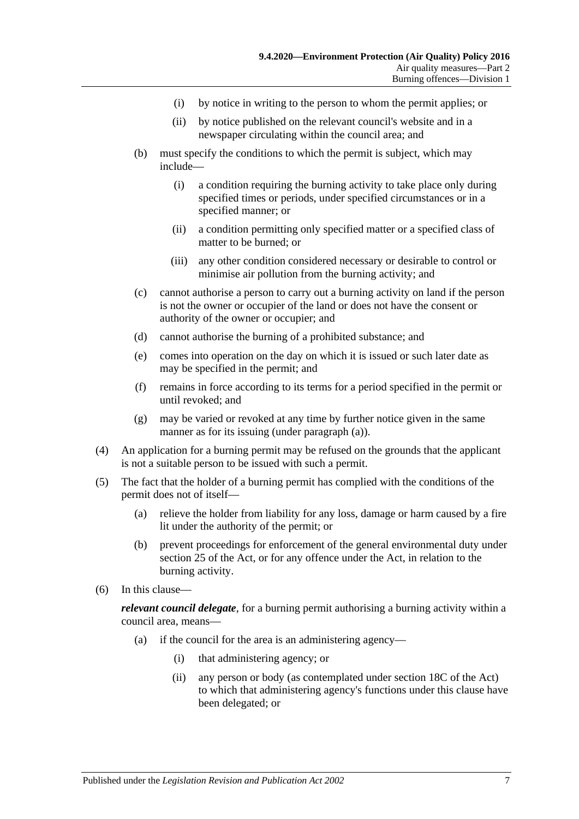- (i) by notice in writing to the person to whom the permit applies; or
- (ii) by notice published on the relevant council's website and in a newspaper circulating within the council area; and
- (b) must specify the conditions to which the permit is subject, which may include—
	- (i) a condition requiring the burning activity to take place only during specified times or periods, under specified circumstances or in a specified manner; or
	- (ii) a condition permitting only specified matter or a specified class of matter to be burned; or
	- (iii) any other condition considered necessary or desirable to control or minimise air pollution from the burning activity; and
- (c) cannot authorise a person to carry out a burning activity on land if the person is not the owner or occupier of the land or does not have the consent or authority of the owner or occupier; and
- (d) cannot authorise the burning of a prohibited substance; and
- (e) comes into operation on the day on which it is issued or such later date as may be specified in the permit; and
- (f) remains in force according to its terms for a period specified in the permit or until revoked; and
- (g) may be varied or revoked at any time by further notice given in the same manner as for its issuing (under [paragraph](#page-5-1) (a)).
- (4) An application for a burning permit may be refused on the grounds that the applicant is not a suitable person to be issued with such a permit.
- (5) The fact that the holder of a burning permit has complied with the conditions of the permit does not of itself—
	- (a) relieve the holder from liability for any loss, damage or harm caused by a fire lit under the authority of the permit; or
	- (b) prevent proceedings for enforcement of the general environmental duty under section 25 of the Act, or for any offence under the Act, in relation to the burning activity.
- (6) In this clause—

*relevant council delegate*, for a burning permit authorising a burning activity within a council area, means—

- (a) if the council for the area is an administering agency—
	- (i) that administering agency; or
	- (ii) any person or body (as contemplated under section 18C of the Act) to which that administering agency's functions under this clause have been delegated; or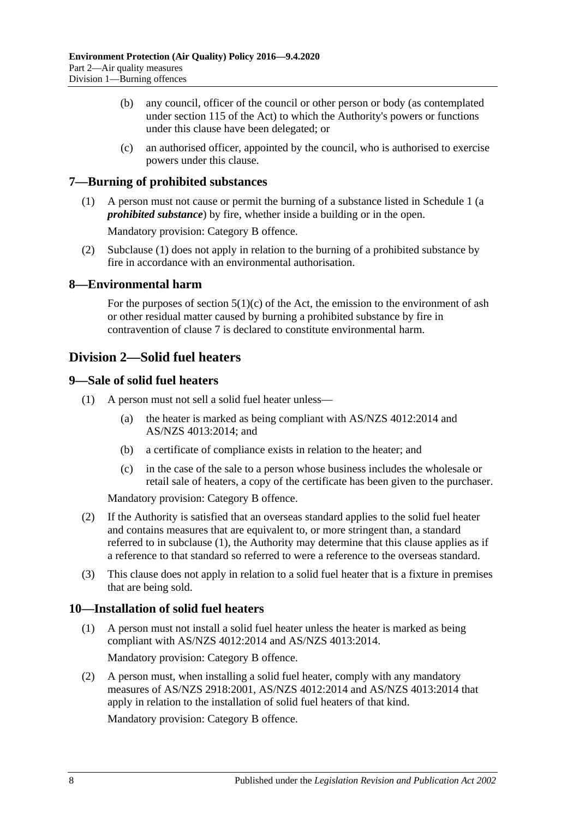- (b) any council, officer of the council or other person or body (as contemplated under section 115 of the Act) to which the Authority's powers or functions under this clause have been delegated; or
- (c) an authorised officer, appointed by the council, who is authorised to exercise powers under this clause.

### <span id="page-7-5"></span><span id="page-7-0"></span>**7—Burning of prohibited substances**

(1) A person must not cause or permit the burning of a substance listed in [Schedule](#page-12-0) 1 (a *prohibited substance*) by fire, whether inside a building or in the open.

Mandatory provision: Category B offence.

(2) [Subclause](#page-7-5) (1) does not apply in relation to the burning of a prohibited substance by fire in accordance with an environmental authorisation.

#### <span id="page-7-1"></span>**8—Environmental harm**

For the purposes of section  $5(1)(c)$  of the Act, the emission to the environment of ash or other residual matter caused by burning a prohibited substance by fire in contravention of [clause](#page-7-0) 7 is declared to constitute environmental harm.

## <span id="page-7-2"></span>**Division 2—Solid fuel heaters**

#### <span id="page-7-6"></span><span id="page-7-3"></span>**9—Sale of solid fuel heaters**

- <span id="page-7-7"></span>(1) A person must not sell a solid fuel heater unless—
	- (a) the heater is marked as being compliant with AS/NZS 4012:2014 and AS/NZS 4013:2014; and
	- (b) a certificate of compliance exists in relation to the heater; and
	- (c) in the case of the sale to a person whose business includes the wholesale or retail sale of heaters, a copy of the certificate has been given to the purchaser.

Mandatory provision: Category B offence.

- (2) If the Authority is satisfied that an overseas standard applies to the solid fuel heater and contains measures that are equivalent to, or more stringent than, a standard referred to in [subclause](#page-7-6) (1), the Authority may determine that this clause applies as if a reference to that standard so referred to were a reference to the overseas standard.
- (3) This clause does not apply in relation to a solid fuel heater that is a fixture in premises that are being sold.

#### <span id="page-7-4"></span>**10—Installation of solid fuel heaters**

- (1) A person must not install a solid fuel heater unless the heater is marked as being compliant with AS/NZS 4012:2014 and AS/NZS 4013:2014. Mandatory provision: Category B offence.
- (2) A person must, when installing a solid fuel heater, comply with any mandatory measures of AS/NZS 2918:2001, AS/NZS 4012:2014 and AS/NZS 4013:2014 that apply in relation to the installation of solid fuel heaters of that kind.

Mandatory provision: Category B offence.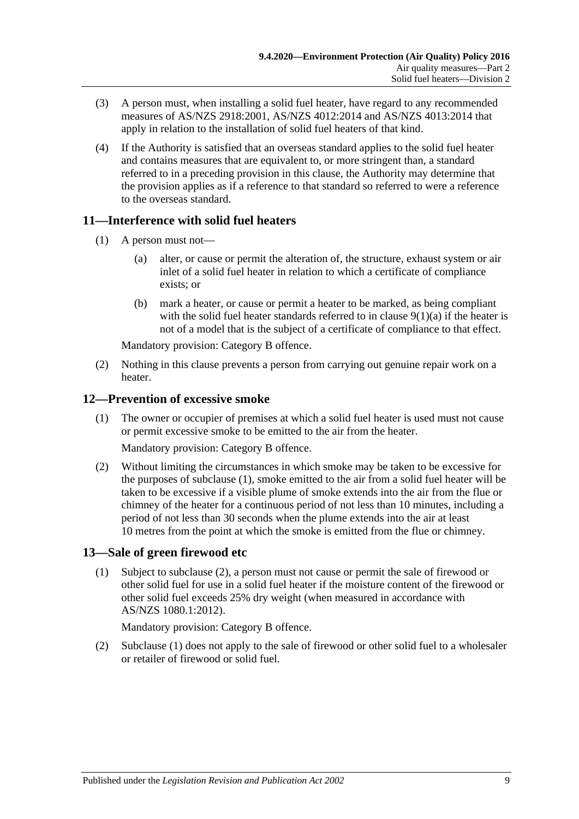- (3) A person must, when installing a solid fuel heater, have regard to any recommended measures of AS/NZS 2918:2001, AS/NZS 4012:2014 and AS/NZS 4013:2014 that apply in relation to the installation of solid fuel heaters of that kind.
- (4) If the Authority is satisfied that an overseas standard applies to the solid fuel heater and contains measures that are equivalent to, or more stringent than, a standard referred to in a preceding provision in this clause, the Authority may determine that the provision applies as if a reference to that standard so referred to were a reference to the overseas standard.

## <span id="page-8-0"></span>**11—Interference with solid fuel heaters**

- (1) A person must not—
	- (a) alter, or cause or permit the alteration of, the structure, exhaust system or air inlet of a solid fuel heater in relation to which a certificate of compliance exists; or
	- (b) mark a heater, or cause or permit a heater to be marked, as being compliant with the solid fuel heater standards referred to in clause  $9(1)(a)$  if the heater is not of a model that is the subject of a certificate of compliance to that effect.

Mandatory provision: Category B offence.

(2) Nothing in this clause prevents a person from carrying out genuine repair work on a heater.

### <span id="page-8-3"></span><span id="page-8-1"></span>**12—Prevention of excessive smoke**

(1) The owner or occupier of premises at which a solid fuel heater is used must not cause or permit excessive smoke to be emitted to the air from the heater.

Mandatory provision: Category B offence.

(2) Without limiting the circumstances in which smoke may be taken to be excessive for the purposes of [subclause](#page-8-3) (1), smoke emitted to the air from a solid fuel heater will be taken to be excessive if a visible plume of smoke extends into the air from the flue or chimney of the heater for a continuous period of not less than 10 minutes, including a period of not less than 30 seconds when the plume extends into the air at least 10 metres from the point at which the smoke is emitted from the flue or chimney.

## <span id="page-8-5"></span><span id="page-8-2"></span>**13—Sale of green firewood etc**

(1) Subject to [subclause](#page-8-4) (2), a person must not cause or permit the sale of firewood or other solid fuel for use in a solid fuel heater if the moisture content of the firewood or other solid fuel exceeds 25% dry weight (when measured in accordance with AS/NZS 1080.1:2012).

Mandatory provision: Category B offence.

<span id="page-8-4"></span>(2) [Subclause](#page-8-5) (1) does not apply to the sale of firewood or other solid fuel to a wholesaler or retailer of firewood or solid fuel.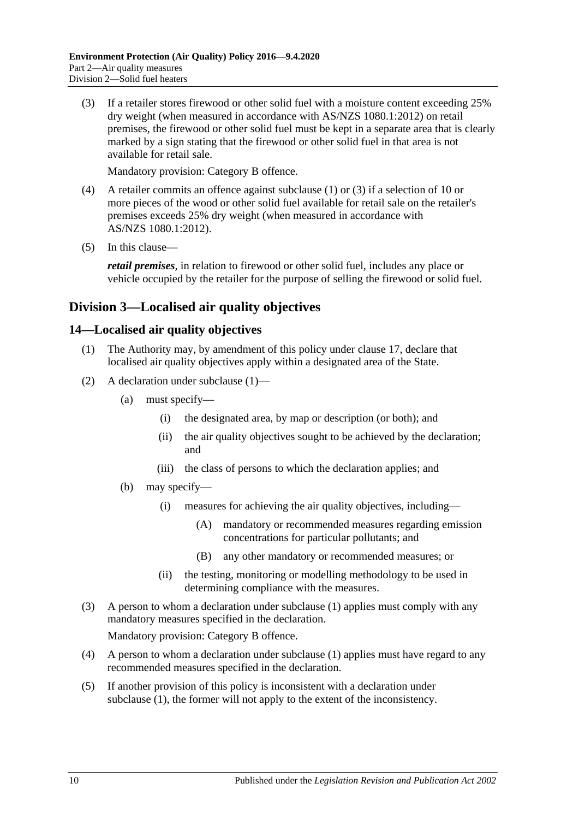<span id="page-9-2"></span>(3) If a retailer stores firewood or other solid fuel with a moisture content exceeding 25% dry weight (when measured in accordance with AS/NZS 1080.1:2012) on retail premises, the firewood or other solid fuel must be kept in a separate area that is clearly marked by a sign stating that the firewood or other solid fuel in that area is not available for retail sale.

Mandatory provision: Category B offence.

- (4) A retailer commits an offence against [subclause](#page-8-5) (1) or [\(3\)](#page-9-2) if a selection of 10 or more pieces of the wood or other solid fuel available for retail sale on the retailer's premises exceeds 25% dry weight (when measured in accordance with AS/NZS 1080.1:2012).
- (5) In this clause—

*retail premises*, in relation to firewood or other solid fuel, includes any place or vehicle occupied by the retailer for the purpose of selling the firewood or solid fuel.

## <span id="page-9-0"></span>**Division 3—Localised air quality objectives**

#### <span id="page-9-3"></span><span id="page-9-1"></span>**14—Localised air quality objectives**

- (1) The Authority may, by amendment of this policy under [clause](#page-10-4) 17, declare that localised air quality objectives apply within a designated area of the State.
- (2) A declaration under [subclause](#page-9-3) (1)—
	- (a) must specify—
		- (i) the designated area, by map or description (or both); and
		- (ii) the air quality objectives sought to be achieved by the declaration; and
		- (iii) the class of persons to which the declaration applies; and
	- (b) may specify—
		- (i) measures for achieving the air quality objectives, including—
			- (A) mandatory or recommended measures regarding emission concentrations for particular pollutants; and
			- (B) any other mandatory or recommended measures; or
		- (ii) the testing, monitoring or modelling methodology to be used in determining compliance with the measures.
- (3) A person to whom a declaration under [subclause](#page-9-3) (1) applies must comply with any mandatory measures specified in the declaration.

Mandatory provision: Category B offence.

- (4) A person to whom a declaration under [subclause](#page-9-3) (1) applies must have regard to any recommended measures specified in the declaration.
- (5) If another provision of this policy is inconsistent with a declaration under [subclause](#page-9-3) (1), the former will not apply to the extent of the inconsistency.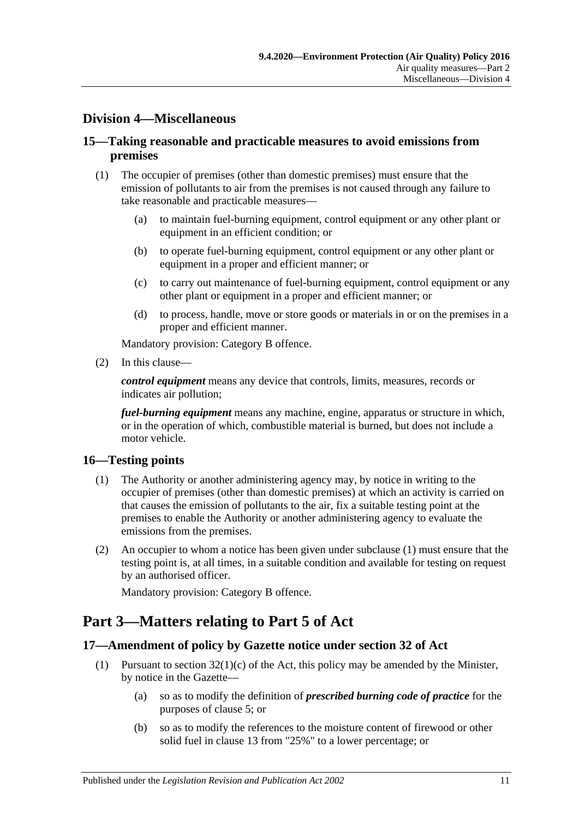## <span id="page-10-0"></span>**Division 4—Miscellaneous**

#### <span id="page-10-1"></span>**15—Taking reasonable and practicable measures to avoid emissions from premises**

- (1) The occupier of premises (other than domestic premises) must ensure that the emission of pollutants to air from the premises is not caused through any failure to take reasonable and practicable measures—
	- (a) to maintain fuel-burning equipment, control equipment or any other plant or equipment in an efficient condition; or
	- (b) to operate fuel-burning equipment, control equipment or any other plant or equipment in a proper and efficient manner; or
	- (c) to carry out maintenance of fuel-burning equipment, control equipment or any other plant or equipment in a proper and efficient manner; or
	- (d) to process, handle, move or store goods or materials in or on the premises in a proper and efficient manner.

Mandatory provision: Category B offence.

(2) In this clause—

*control equipment* means any device that controls, limits, measures, records or indicates air pollution;

*fuel-burning equipment* means any machine, engine, apparatus or structure in which, or in the operation of which, combustible material is burned, but does not include a motor vehicle.

#### <span id="page-10-5"></span><span id="page-10-2"></span>**16—Testing points**

- (1) The Authority or another administering agency may, by notice in writing to the occupier of premises (other than domestic premises) at which an activity is carried on that causes the emission of pollutants to the air, fix a suitable testing point at the premises to enable the Authority or another administering agency to evaluate the emissions from the premises.
- (2) An occupier to whom a notice has been given under [subclause](#page-10-5) (1) must ensure that the testing point is, at all times, in a suitable condition and available for testing on request by an authorised officer.

Mandatory provision: Category B offence.

## <span id="page-10-3"></span>**Part 3—Matters relating to Part 5 of Act**

#### <span id="page-10-4"></span>**17—Amendment of policy by Gazette notice under section 32 of Act**

- <span id="page-10-6"></span>(1) Pursuant to section  $32(1)(c)$  of the Act, this policy may be amended by the Minister, by notice in the Gazette—
	- (a) so as to modify the definition of *prescribed burning code of practice* for the purposes of [clause](#page-4-2) 5; or
	- (b) so as to modify the references to the moisture content of firewood or other solid fuel in [clause](#page-8-2) 13 from "25%" to a lower percentage; or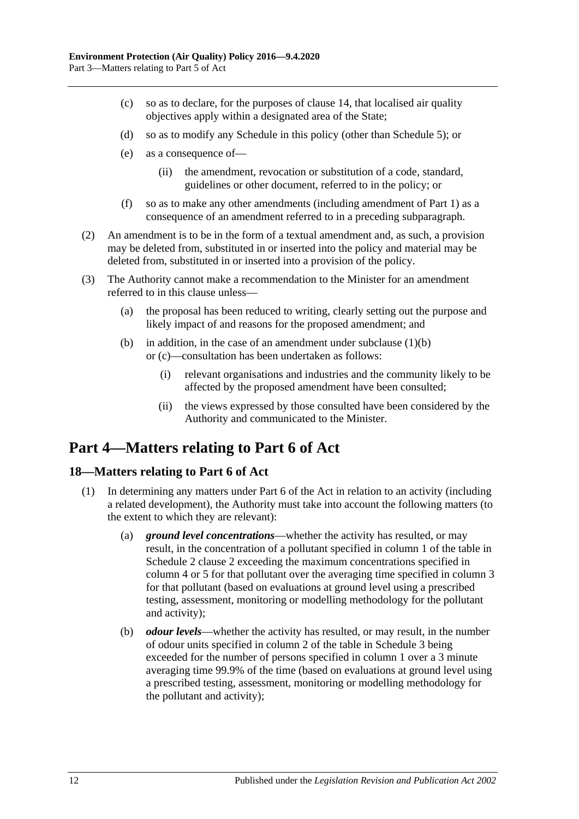- <span id="page-11-2"></span>(c) so as to declare, for the purposes of [clause](#page-9-1) 14, that localised air quality objectives apply within a designated area of the State;
- (d) so as to modify any Schedule in this policy (other than [Schedule](#page-22-0) 5); or
- (e) as a consequence of—
	- (ii) the amendment, revocation or substitution of a code, standard, guidelines or other document, referred to in the policy; or
- (f) so as to make any other amendments (including amendment of [Part](#page-1-0) 1) as a consequence of an amendment referred to in a preceding subparagraph.
- (2) An amendment is to be in the form of a textual amendment and, as such, a provision may be deleted from, substituted in or inserted into the policy and material may be deleted from, substituted in or inserted into a provision of the policy.
- (3) The Authority cannot make a recommendation to the Minister for an amendment referred to in this clause unless—
	- (a) the proposal has been reduced to writing, clearly setting out the purpose and likely impact of and reasons for the proposed amendment; and
	- (b) in addition, in the case of an amendment under [subclause](#page-10-6)  $(1)(b)$ or [\(c\)—](#page-11-2)consultation has been undertaken as follows:
		- (i) relevant organisations and industries and the community likely to be affected by the proposed amendment have been consulted;
		- (ii) the views expressed by those consulted have been considered by the Authority and communicated to the Minister.

## <span id="page-11-0"></span>**Part 4—Matters relating to Part 6 of Act**

#### <span id="page-11-1"></span>**18—Matters relating to Part 6 of Act**

- <span id="page-11-4"></span><span id="page-11-3"></span>(1) In determining any matters under Part 6 of the Act in relation to an activity (including a related development), the Authority must take into account the following matters (to the extent to which they are relevant):
	- (a) *ground level concentrations*—whether the activity has resulted, or may result, in the concentration of a pollutant specified in column 1 of the table in [Schedule](#page-13-2) 2 clause 2 exceeding the maximum concentrations specified in column 4 or 5 for that pollutant over the averaging time specified in column 3 for that pollutant (based on evaluations at ground level using a prescribed testing, assessment, monitoring or modelling methodology for the pollutant and activity);
	- (b) *odour levels*—whether the activity has resulted, or may result, in the number of odour units specified in column 2 of the table in [Schedule](#page-20-0) 3 being exceeded for the number of persons specified in column 1 over a 3 minute averaging time 99.9% of the time (based on evaluations at ground level using a prescribed testing, assessment, monitoring or modelling methodology for the pollutant and activity);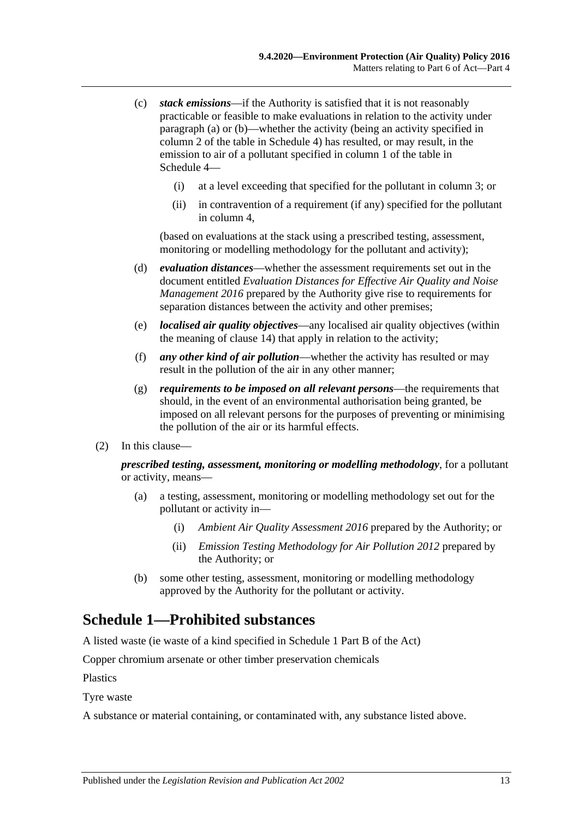- <span id="page-12-1"></span>(c) *stack emissions*—if the Authority is satisfied that it is not reasonably practicable or feasible to make evaluations in relation to the activity under [paragraph](#page-11-3) (a) or [\(b\)—](#page-11-4)whether the activity (being an activity specified in column 2 of the table in [Schedule](#page-20-1) 4) has resulted, or may result, in the emission to air of a pollutant specified in column 1 of the table in [Schedule](#page-20-1) 4—
	- (i) at a level exceeding that specified for the pollutant in column 3; or
	- (ii) in contravention of a requirement (if any) specified for the pollutant in column 4,

(based on evaluations at the stack using a prescribed testing, assessment, monitoring or modelling methodology for the pollutant and activity);

- (d) *evaluation distances*—whether the assessment requirements set out in the document entitled *Evaluation Distances for Effective Air Quality and Noise Management 2016* prepared by the Authority give rise to requirements for separation distances between the activity and other premises;
- (e) *localised air quality objectives*—any localised air quality objectives (within the meaning of [clause](#page-9-1) 14) that apply in relation to the activity;
- (f) *any other kind of air pollution*—whether the activity has resulted or may result in the pollution of the air in any other manner;
- (g) *requirements to be imposed on all relevant persons*—the requirements that should, in the event of an environmental authorisation being granted, be imposed on all relevant persons for the purposes of preventing or minimising the pollution of the air or its harmful effects.
- (2) In this clause—

*prescribed testing, assessment, monitoring or modelling methodology*, for a pollutant or activity, means—

- (a) a testing, assessment, monitoring or modelling methodology set out for the pollutant or activity in—
	- (i) *Ambient Air Quality Assessment 2016* prepared by the Authority; or
	- (ii) *Emission Testing Methodology for Air Pollution 2012* prepared by the Authority; or
- (b) some other testing, assessment, monitoring or modelling methodology approved by the Authority for the pollutant or activity.

## <span id="page-12-0"></span>**Schedule 1—Prohibited substances**

A listed waste (ie waste of a kind specified in Schedule 1 Part B of the Act)

Copper chromium arsenate or other timber preservation chemicals

Plastics

Tyre waste

A substance or material containing, or contaminated with, any substance listed above.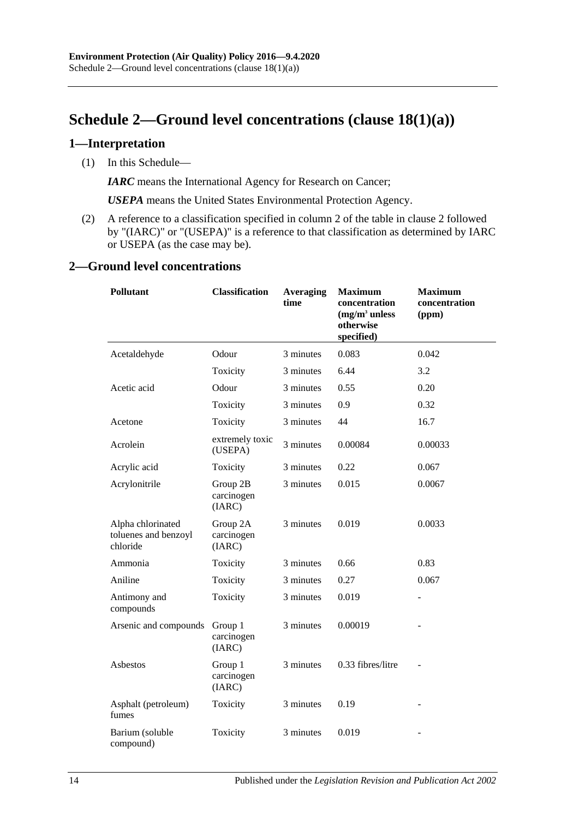# <span id="page-13-0"></span>**Schedule 2—Ground level concentrations (clause [18\(1\)\(a\)\)](#page-11-3)**

#### <span id="page-13-1"></span>**1—Interpretation**

(1) In this Schedule—

*IARC* means the International Agency for Research on Cancer;

*USEPA* means the United States Environmental Protection Agency.

(2) A reference to a classification specified in column 2 of the table in [clause](#page-13-2) 2 followed by "(IARC)" or "(USEPA)" is a reference to that classification as determined by IARC or USEPA (as the case may be).

#### <span id="page-13-2"></span>**2—Ground level concentrations**

| <b>Pollutant</b>                                      | <b>Classification</b>            | <b>Averaging</b><br>time | <b>Maximum</b><br>concentration<br>$(mg/m3$ unless<br>otherwise<br>specified) | <b>Maximum</b><br>concentration<br>(ppm) |
|-------------------------------------------------------|----------------------------------|--------------------------|-------------------------------------------------------------------------------|------------------------------------------|
| Acetaldehyde                                          | Odour                            | 3 minutes                | 0.083                                                                         | 0.042                                    |
|                                                       | Toxicity                         | 3 minutes                | 6.44                                                                          | 3.2                                      |
| Acetic acid                                           | Odour                            | 3 minutes                | 0.55                                                                          | 0.20                                     |
|                                                       | Toxicity                         | 3 minutes                | 0.9                                                                           | 0.32                                     |
| Acetone                                               | Toxicity                         | 3 minutes                | 44                                                                            | 16.7                                     |
| Acrolein                                              | extremely toxic<br>(USEPA)       | 3 minutes                | 0.00084                                                                       | 0.00033                                  |
| Acrylic acid                                          | Toxicity                         | 3 minutes                | 0.22                                                                          | 0.067                                    |
| Acrylonitrile                                         | Group 2B<br>carcinogen<br>(IARC) | 3 minutes                | 0.015                                                                         | 0.0067                                   |
| Alpha chlorinated<br>toluenes and benzoyl<br>chloride | Group 2A<br>carcinogen<br>(IARC) | 3 minutes                | 0.019                                                                         | 0.0033                                   |
| Ammonia                                               | Toxicity                         | 3 minutes                | 0.66                                                                          | 0.83                                     |
| Aniline                                               | Toxicity                         | 3 minutes                | 0.27                                                                          | 0.067                                    |
| Antimony and<br>compounds                             | Toxicity                         | 3 minutes                | 0.019                                                                         |                                          |
| Arsenic and compounds                                 | Group 1<br>carcinogen<br>(IARC)  | 3 minutes                | 0.00019                                                                       |                                          |
| Asbestos                                              | Group 1<br>carcinogen<br>(IARC)  | 3 minutes                | 0.33 fibres/litre                                                             |                                          |
| Asphalt (petroleum)<br>fumes                          | Toxicity                         | 3 minutes                | 0.19                                                                          |                                          |
| Barium (soluble<br>compound)                          | Toxicity                         | 3 minutes                | 0.019                                                                         |                                          |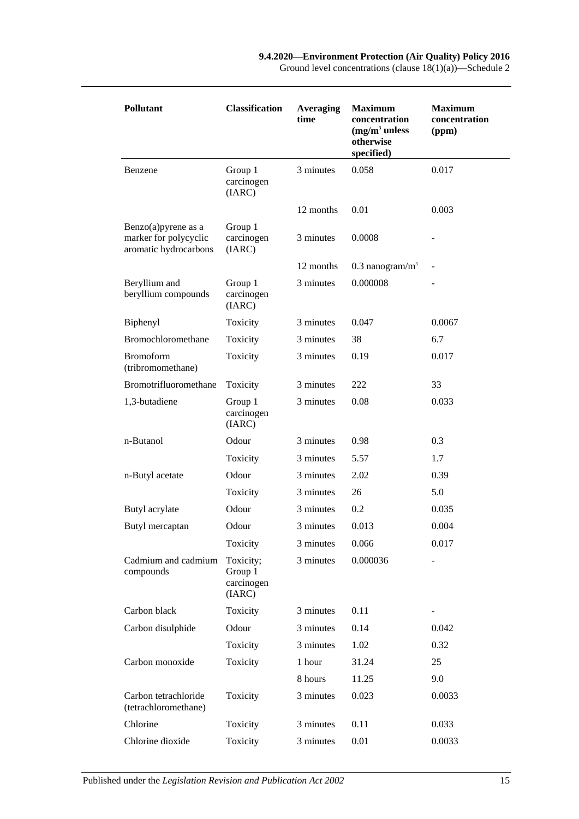Ground level concentrations (clause 18(1)(a))—Schedule 2

| <b>Pollutant</b>                                                          | <b>Classification</b>                        | <b>Averaging</b><br>time |                               | <b>Maximum</b><br>concentration<br>(ppm) |  |
|---------------------------------------------------------------------------|----------------------------------------------|--------------------------|-------------------------------|------------------------------------------|--|
| Benzene                                                                   | Group 1<br>carcinogen<br>(IARC)              | 3 minutes                | 0.058                         | 0.017                                    |  |
|                                                                           |                                              | 12 months                | 0.01                          | 0.003                                    |  |
| Benzo $(a)$ pyrene as a<br>marker for polycyclic<br>aromatic hydrocarbons | Group 1<br>carcinogen<br>(IARC)              | 3 minutes                | 0.0008                        |                                          |  |
|                                                                           |                                              | 12 months                | $0.3$ nanogram/m <sup>3</sup> |                                          |  |
| Beryllium and<br>beryllium compounds                                      | Group 1<br>carcinogen<br>(IARC)              | 3 minutes                | 0.000008                      |                                          |  |
| Biphenyl                                                                  | Toxicity                                     | 3 minutes                | 0.047                         | 0.0067                                   |  |
| Bromochloromethane                                                        | Toxicity                                     | 3 minutes                | 38                            | 6.7                                      |  |
| <b>Bromoform</b><br>(tribromomethane)                                     | Toxicity                                     | 3 minutes                | 0.19                          | 0.017                                    |  |
| Bromotrifluoromethane                                                     | Toxicity                                     | 3 minutes                | 222                           | 33                                       |  |
| 1,3-butadiene                                                             | Group 1<br>carcinogen<br>(IARC)              | 3 minutes                | 0.08                          | 0.033                                    |  |
| n-Butanol                                                                 | Odour                                        | 3 minutes                | 0.98                          | 0.3                                      |  |
|                                                                           | Toxicity                                     | 3 minutes                | 5.57                          | 1.7                                      |  |
| n-Butyl acetate                                                           | Odour                                        | 3 minutes                | 2.02                          | 0.39                                     |  |
|                                                                           | Toxicity                                     | 3 minutes                | 26                            | 5.0                                      |  |
| Butyl acrylate                                                            | Odour                                        | 3 minutes                | 0.2                           | 0.035                                    |  |
| Butyl mercaptan                                                           | Odour                                        | 3 minutes                | 0.013                         | 0.004                                    |  |
|                                                                           | Toxicity                                     | 3 minutes                | 0.066                         | 0.017                                    |  |
| Cadmium and cadmium<br>compounds                                          | Toxicity;<br>Group 1<br>carcinogen<br>(IARC) | 3 minutes                | 0.000036                      |                                          |  |
| Carbon black                                                              | Toxicity                                     | 3 minutes                | 0.11                          |                                          |  |
| Carbon disulphide                                                         | Odour                                        | 3 minutes                | 0.14                          | 0.042                                    |  |
|                                                                           | Toxicity                                     | 3 minutes                | 1.02                          | 0.32                                     |  |
| Carbon monoxide                                                           | Toxicity                                     | 1 hour                   | 31.24                         | 25                                       |  |
|                                                                           |                                              | 8 hours                  | 11.25                         | 9.0                                      |  |
| Carbon tetrachloride<br>(tetrachloromethane)                              | Toxicity                                     | 3 minutes                | 0.023                         | 0.0033                                   |  |
| Chlorine                                                                  | Toxicity                                     | 3 minutes                | 0.11                          | 0.033                                    |  |
| Chlorine dioxide                                                          | Toxicity                                     | 3 minutes                | 0.01                          | 0.0033                                   |  |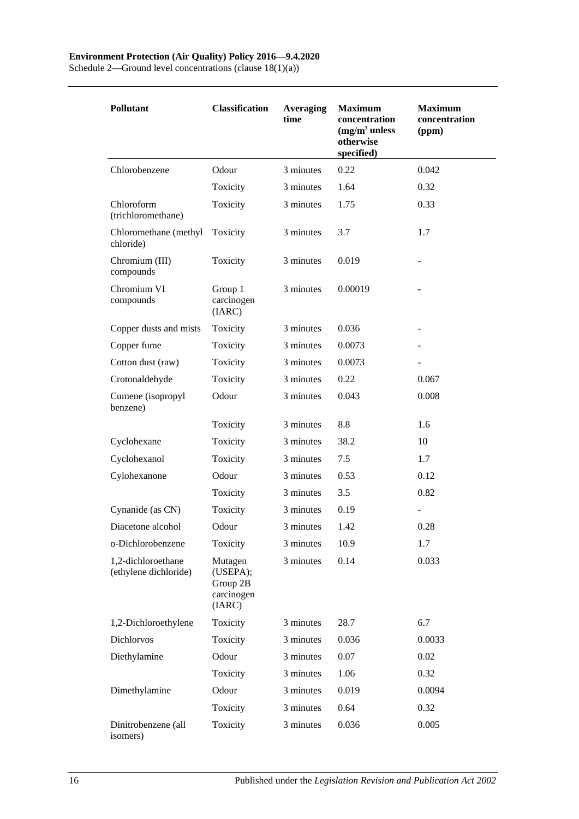#### **Environment Protection (Air Quality) Policy 2016—9.4.2020**

Schedule 2—Ground level concentrations (clause 18(1)(a))

| <b>Pollutant</b>                            | <b>Classification</b>                                   | <b>Averaging</b><br>time | <b>Maximum</b><br>concentration<br>$(mg/m3$ unless<br>otherwise<br>specified) | <b>Maximum</b><br>concentration<br>(ppm) |
|---------------------------------------------|---------------------------------------------------------|--------------------------|-------------------------------------------------------------------------------|------------------------------------------|
| Chlorobenzene                               | Odour                                                   | 3 minutes                | 0.22                                                                          | 0.042                                    |
|                                             | Toxicity                                                | 3 minutes                | 1.64                                                                          | 0.32                                     |
| Chloroform<br>(trichloromethane)            | Toxicity                                                | 3 minutes                | 1.75                                                                          | 0.33                                     |
| Chloromethane (methyl<br>chloride)          | Toxicity                                                | 3 minutes                | 3.7                                                                           | 1.7                                      |
| Chromium (III)<br>compounds                 | Toxicity                                                | 3 minutes                | 0.019                                                                         |                                          |
| Chromium VI<br>compounds                    | Group 1<br>carcinogen<br>(IARC)                         | 3 minutes                | 0.00019                                                                       |                                          |
| Copper dusts and mists                      | Toxicity                                                | 3 minutes                | 0.036                                                                         |                                          |
| Copper fume                                 | Toxicity                                                | 3 minutes                | 0.0073                                                                        |                                          |
| Cotton dust (raw)                           | Toxicity                                                | 3 minutes                | 0.0073                                                                        |                                          |
| Crotonaldehyde                              | Toxicity                                                | 3 minutes                | 0.22                                                                          | 0.067                                    |
| Cumene (isopropyl<br>benzene)               | Odour                                                   | 3 minutes                | 0.043                                                                         | 0.008                                    |
|                                             | Toxicity                                                | 3 minutes                | 8.8                                                                           | 1.6                                      |
| Cyclohexane                                 | Toxicity                                                | 3 minutes                | 38.2                                                                          | 10                                       |
| Cyclohexanol                                | Toxicity                                                | 3 minutes                | 7.5                                                                           | 1.7                                      |
| Cylohexanone                                | Odour                                                   | 3 minutes                | 0.53                                                                          | 0.12                                     |
|                                             | Toxicity                                                | 3 minutes                | 3.5                                                                           | 0.82                                     |
| Cynanide (as CN)                            | Toxicity                                                | 3 minutes                | 0.19                                                                          |                                          |
| Diacetone alcohol                           | Odour                                                   | 3 minutes                | 1.42                                                                          | 0.28                                     |
| o-Dichlorobenzene                           | Toxicity                                                | 3 minutes                | 10.9                                                                          | 1.7                                      |
| 1,2-dichloroethane<br>(ethylene dichloride) | Mutagen<br>(USEPA);<br>Group 2B<br>carcinogen<br>(IARC) | 3 minutes                | 0.14                                                                          | 0.033                                    |
| 1,2-Dichloroethylene                        | Toxicity                                                | 3 minutes                | 28.7                                                                          | 6.7                                      |
| Dichlorvos                                  | Toxicity                                                | 3 minutes                | 0.036                                                                         | 0.0033                                   |
| Diethylamine                                | Odour                                                   | 3 minutes                | 0.07                                                                          | 0.02                                     |
|                                             | Toxicity                                                | 3 minutes                | 1.06                                                                          | 0.32                                     |
| Dimethylamine                               | Odour                                                   | 3 minutes                | 0.019                                                                         | 0.0094                                   |
|                                             | Toxicity                                                | 3 minutes                | 0.64                                                                          | 0.32                                     |
| Dinitrobenzene (all<br>isomers)             | Toxicity                                                | 3 minutes                | 0.036                                                                         | 0.005                                    |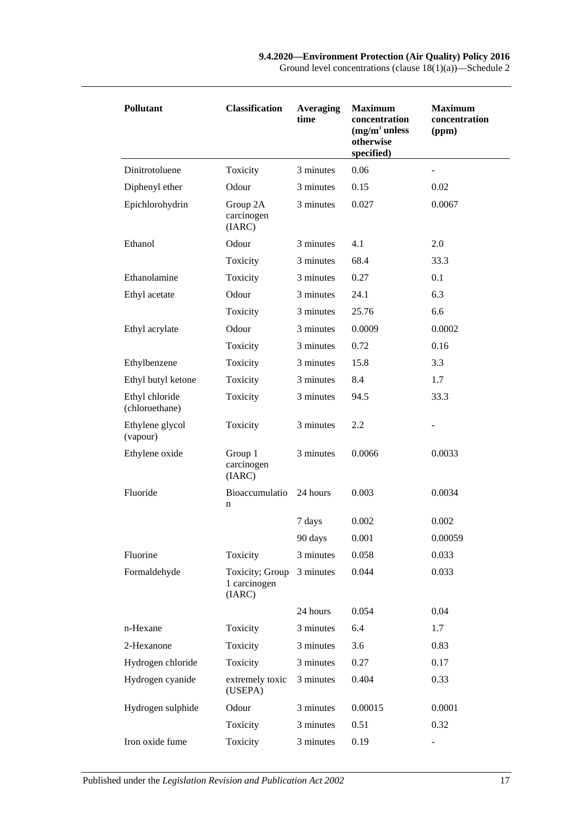| Pollutant                        | <b>Classification</b>                     | <b>Averaging</b><br>time | <b>Maximum</b><br>concentration<br>$(mg/m3$ unless<br>otherwise<br>specified) | <b>Maximum</b><br>concentration<br>(ppm) |
|----------------------------------|-------------------------------------------|--------------------------|-------------------------------------------------------------------------------|------------------------------------------|
| Dinitrotoluene                   | Toxicity                                  | 3 minutes                | 0.06                                                                          |                                          |
| Diphenyl ether                   | Odour                                     | 3 minutes                | 0.15                                                                          | 0.02                                     |
| Epichlorohydrin                  | Group 2A<br>carcinogen<br>(IARC)          | 3 minutes                | 0.027                                                                         | 0.0067                                   |
| Ethanol                          | Odour                                     | 3 minutes                | 4.1                                                                           | 2.0                                      |
|                                  | Toxicity                                  | 3 minutes                | 68.4                                                                          | 33.3                                     |
| Ethanolamine                     | Toxicity                                  | 3 minutes                | 0.27                                                                          | 0.1                                      |
| Ethyl acetate                    | Odour                                     | 3 minutes                | 24.1                                                                          | 6.3                                      |
|                                  | Toxicity                                  | 3 minutes                | 25.76                                                                         | 6.6                                      |
| Ethyl acrylate                   | Odour                                     | 3 minutes                | 0.0009                                                                        | 0.0002                                   |
|                                  | Toxicity                                  | 3 minutes                | 0.72                                                                          | 0.16                                     |
| Ethylbenzene                     | Toxicity                                  | 3 minutes                | 15.8                                                                          | 3.3                                      |
| Ethyl butyl ketone               | Toxicity                                  | 3 minutes                | 8.4                                                                           | 1.7                                      |
| Ethyl chloride<br>(chloroethane) | Toxicity                                  | 3 minutes                | 94.5                                                                          | 33.3                                     |
| Ethylene glycol<br>(vapour)      | Toxicity                                  | 3 minutes                | 2.2                                                                           |                                          |
| Ethylene oxide                   | Group 1<br>carcinogen<br>(IARC)           | 3 minutes                | 0.0066                                                                        | 0.0033                                   |
| Fluoride                         | Bioaccumulatio<br>n                       | 24 hours                 | 0.003                                                                         | 0.0034                                   |
|                                  |                                           | 7 days                   | 0.002                                                                         | 0.002                                    |
|                                  |                                           | 90 days                  | 0.001                                                                         | 0.00059                                  |
| Fluorine                         | Toxicity                                  | 3 minutes                | 0.058                                                                         | 0.033                                    |
| Formaldehyde                     | Toxicity; Group<br>1 carcinogen<br>(IARC) | 3 minutes                | 0.044                                                                         | 0.033                                    |
|                                  |                                           | 24 hours                 | 0.054                                                                         | 0.04                                     |
| n-Hexane                         | Toxicity                                  | 3 minutes                | 6.4                                                                           | 1.7                                      |
| 2-Hexanone                       | Toxicity                                  | 3 minutes                | 3.6                                                                           | 0.83                                     |
| Hydrogen chloride                | Toxicity                                  | 3 minutes                | 0.27                                                                          | 0.17                                     |
| Hydrogen cyanide                 | extremely toxic<br>(USEPA)                | 3 minutes                | 0.404                                                                         | 0.33                                     |
| Hydrogen sulphide                | Odour                                     | 3 minutes                | 0.00015                                                                       | 0.0001                                   |
|                                  | Toxicity                                  | 3 minutes                | 0.51                                                                          | 0.32                                     |
| Iron oxide fume                  | Toxicity                                  | 3 minutes                | 0.19                                                                          |                                          |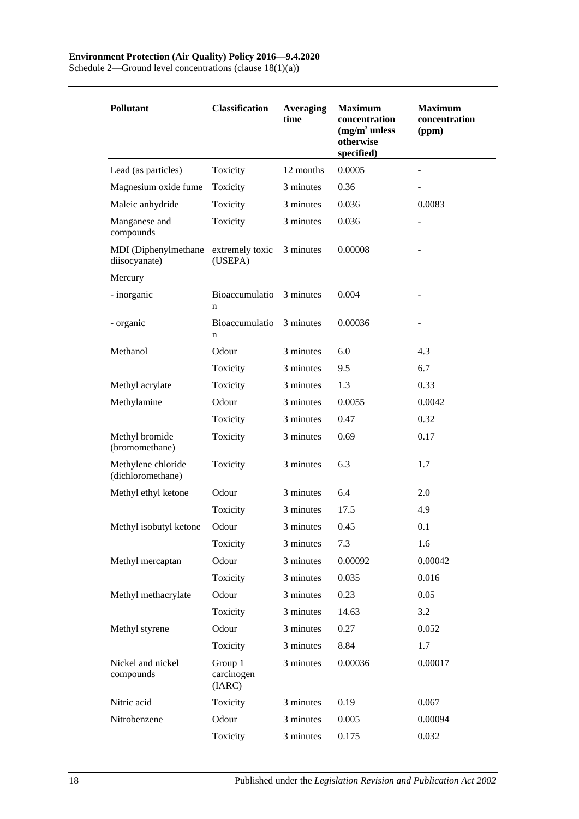Schedule 2—Ground level concentrations (clause 18(1)(a))

| <b>Pollutant</b>                        | <b>Classification</b><br><b>Averaging</b><br>time |           | <b>Maximum</b><br>concentration<br>$(mg/m3$ unless<br>otherwise<br>specified) | <b>Maximum</b><br>concentration<br>(ppm) |  |
|-----------------------------------------|---------------------------------------------------|-----------|-------------------------------------------------------------------------------|------------------------------------------|--|
| Lead (as particles)                     | Toxicity                                          | 12 months | 0.0005                                                                        |                                          |  |
| Magnesium oxide fume                    | Toxicity                                          | 3 minutes | 0.36                                                                          |                                          |  |
| Maleic anhydride                        | Toxicity                                          | 3 minutes | 0.036                                                                         | 0.0083                                   |  |
| Manganese and<br>compounds              | Toxicity                                          | 3 minutes | 0.036                                                                         |                                          |  |
| MDI (Diphenylmethane<br>diisocyanate)   | extremely toxic<br>(USEPA)                        | 3 minutes | 0.00008                                                                       |                                          |  |
| Mercury                                 |                                                   |           |                                                                               |                                          |  |
| - inorganic                             | Bioaccumulatio<br>n                               | 3 minutes | 0.004                                                                         |                                          |  |
| - organic                               | Bioaccumulatio<br>n                               | 3 minutes | 0.00036                                                                       |                                          |  |
| Methanol                                | Odour                                             | 3 minutes | 6.0                                                                           | 4.3                                      |  |
|                                         | Toxicity                                          | 3 minutes | 9.5                                                                           | 6.7                                      |  |
| Methyl acrylate                         | Toxicity                                          | 3 minutes | 1.3                                                                           | 0.33                                     |  |
| Methylamine                             | Odour                                             | 3 minutes | 0.0055                                                                        | 0.0042                                   |  |
|                                         | Toxicity                                          | 3 minutes | 0.47                                                                          | 0.32                                     |  |
| Methyl bromide<br>(bromomethane)        | Toxicity                                          | 3 minutes | 0.69                                                                          | 0.17                                     |  |
| Methylene chloride<br>(dichloromethane) | Toxicity                                          | 3 minutes | 6.3                                                                           | 1.7                                      |  |
| Methyl ethyl ketone                     | Odour                                             | 3 minutes | 6.4                                                                           | 2.0                                      |  |
|                                         | Toxicity                                          | 3 minutes | 17.5                                                                          | 4.9                                      |  |
| Methyl isobutyl ketone                  | Odour                                             | 3 minutes | 0.45                                                                          | 0.1                                      |  |
|                                         | Toxicity                                          | 3 minutes | 7.3                                                                           | 1.6                                      |  |
| Methyl mercaptan                        | Odour                                             | 3 minutes | 0.00092                                                                       | 0.00042                                  |  |
|                                         | Toxicity                                          | 3 minutes | 0.035                                                                         | 0.016                                    |  |
| Methyl methacrylate                     | Odour                                             | 3 minutes | 0.23                                                                          | 0.05                                     |  |
|                                         | Toxicity                                          | 3 minutes | 14.63                                                                         | 3.2                                      |  |
| Methyl styrene                          | Odour                                             | 3 minutes | 0.27                                                                          | 0.052                                    |  |
|                                         | Toxicity                                          | 3 minutes | 8.84                                                                          | 1.7                                      |  |
| Nickel and nickel<br>compounds          | Group 1<br>carcinogen<br>(IARC)                   | 3 minutes | 0.00036                                                                       | 0.00017                                  |  |
| Nitric acid                             | Toxicity                                          | 3 minutes | 0.19                                                                          | 0.067                                    |  |
| Nitrobenzene                            | Odour                                             | 3 minutes | 0.005                                                                         | 0.00094                                  |  |
|                                         | Toxicity                                          | 3 minutes | 0.175                                                                         | 0.032                                    |  |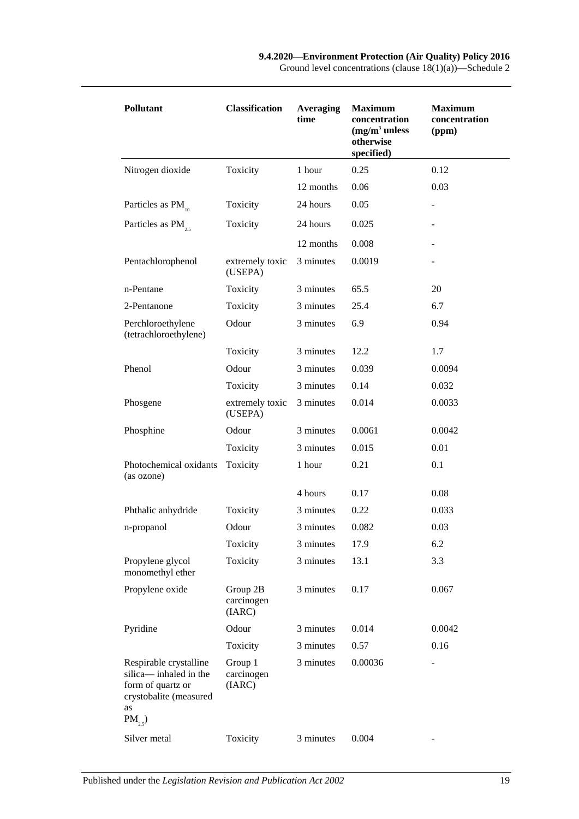| <b>Pollutant</b>                                                                                                   | <b>Classification</b><br><b>Averaging</b><br>time |           | <b>Maximum</b><br>concentration<br>$(mg/m3$ unless<br>otherwise<br>specified) | <b>Maximum</b><br>concentration<br>(ppm) |  |
|--------------------------------------------------------------------------------------------------------------------|---------------------------------------------------|-----------|-------------------------------------------------------------------------------|------------------------------------------|--|
| Nitrogen dioxide                                                                                                   | Toxicity                                          | 1 hour    | 0.25                                                                          | 0.12                                     |  |
|                                                                                                                    |                                                   | 12 months | 0.06                                                                          | 0.03                                     |  |
| Particles as $PM$ <sub>10</sub>                                                                                    | Toxicity                                          | 24 hours  | 0.05                                                                          |                                          |  |
| Particles as $PM$ <sub>25</sub>                                                                                    | Toxicity                                          | 24 hours  | 0.025                                                                         |                                          |  |
|                                                                                                                    |                                                   | 12 months | 0.008                                                                         |                                          |  |
| Pentachlorophenol                                                                                                  | extremely toxic<br>(USEPA)                        | 3 minutes | 0.0019                                                                        |                                          |  |
| n-Pentane                                                                                                          | Toxicity                                          | 3 minutes | 65.5                                                                          | 20                                       |  |
| 2-Pentanone                                                                                                        | Toxicity                                          | 3 minutes | 25.4                                                                          | 6.7                                      |  |
| Perchloroethylene<br>(tetrachloroethylene)                                                                         | Odour                                             | 3 minutes | 6.9                                                                           | 0.94                                     |  |
|                                                                                                                    | Toxicity                                          | 3 minutes | 12.2                                                                          | 1.7                                      |  |
| Phenol                                                                                                             | Odour                                             | 3 minutes | 0.039                                                                         | 0.0094                                   |  |
|                                                                                                                    | Toxicity                                          | 3 minutes | 0.14                                                                          | 0.032                                    |  |
| Phosgene                                                                                                           | extremely toxic<br>(USEPA)                        | 3 minutes | 0.014                                                                         | 0.0033                                   |  |
| Phosphine                                                                                                          | Odour                                             | 3 minutes | 0.0061                                                                        | 0.0042                                   |  |
|                                                                                                                    | Toxicity                                          | 3 minutes | 0.015                                                                         | 0.01                                     |  |
| Photochemical oxidants<br>(as ozone)                                                                               | Toxicity                                          | 1 hour    | 0.21                                                                          | 0.1                                      |  |
|                                                                                                                    |                                                   | 4 hours   | 0.17                                                                          | 0.08                                     |  |
| Phthalic anhydride                                                                                                 | Toxicity                                          | 3 minutes | 0.22                                                                          | 0.033                                    |  |
| n-propanol                                                                                                         | Odour                                             | 3 minutes | 0.082                                                                         | 0.03                                     |  |
|                                                                                                                    | Toxicity                                          | 3 minutes | 17.9                                                                          | 6.2                                      |  |
| Propylene glycol<br>monomethyl ether                                                                               | Toxicity                                          | 3 minutes | 13.1                                                                          | 3.3                                      |  |
| Propylene oxide                                                                                                    | Group 2B<br>carcinogen<br>(IARC)                  | 3 minutes | 0.17                                                                          | 0.067                                    |  |
| Pyridine                                                                                                           | Odour                                             | 3 minutes | 0.014                                                                         | 0.0042                                   |  |
|                                                                                                                    | Toxicity                                          | 3 minutes | 0.57                                                                          | 0.16                                     |  |
| Respirable crystalline<br>silica-inhaled in the<br>form of quartz or<br>crystobalite (measured<br>as<br>$PM_{2,5}$ | Group 1<br>carcinogen<br>(IARC)                   | 3 minutes | 0.00036                                                                       | -                                        |  |
| Silver metal                                                                                                       | Toxicity                                          | 3 minutes | 0.004                                                                         |                                          |  |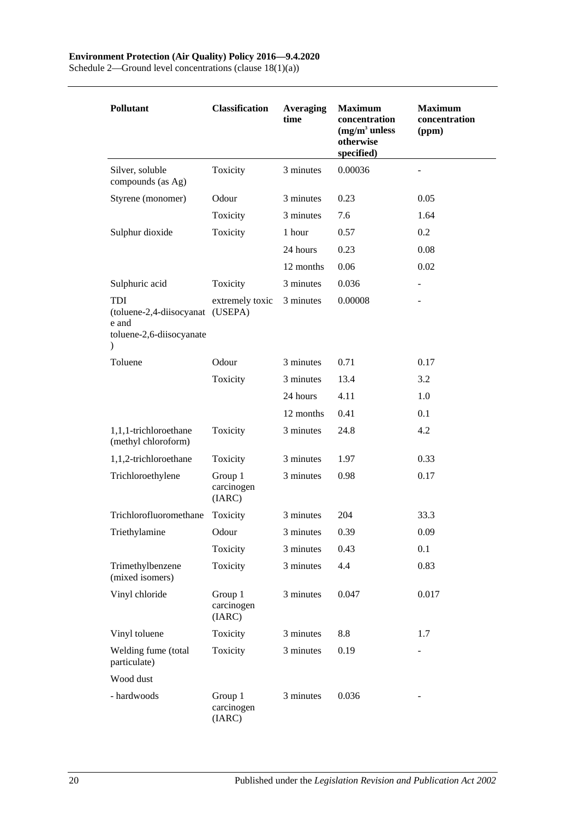Schedule 2—Ground level concentrations (clause 18(1)(a))

| <b>Pollutant</b>                                                                  | <b>Classification</b>           | <b>Averaging</b><br>time | <b>Maximum</b><br>concentration<br>$(mg/m3$ unless<br>otherwise<br>specified) | <b>Maximum</b><br>concentration<br>(ppm) |
|-----------------------------------------------------------------------------------|---------------------------------|--------------------------|-------------------------------------------------------------------------------|------------------------------------------|
| Silver, soluble<br>compounds (as Ag)                                              | Toxicity                        | 3 minutes                | 0.00036                                                                       |                                          |
| Styrene (monomer)                                                                 | Odour                           | 3 minutes                | 0.23                                                                          | 0.05                                     |
|                                                                                   | Toxicity                        | 3 minutes                | 7.6                                                                           | 1.64                                     |
| Sulphur dioxide                                                                   | Toxicity                        | 1 hour                   | 0.57                                                                          | 0.2                                      |
|                                                                                   |                                 | 24 hours                 | 0.23                                                                          | 0.08                                     |
|                                                                                   |                                 | 12 months                | 0.06                                                                          | 0.02                                     |
| Sulphuric acid                                                                    | Toxicity                        | 3 minutes                | 0.036                                                                         | $\overline{\phantom{a}}$                 |
| TDI<br>(toluene-2,4-diisocyanat<br>e and<br>toluene-2,6-diisocyanate<br>$\lambda$ | extremely toxic<br>(USEPA)      | 3 minutes                | 0.00008                                                                       |                                          |
| Toluene                                                                           | Odour                           | 3 minutes                | 0.71                                                                          | 0.17                                     |
|                                                                                   | Toxicity                        | 3 minutes                | 13.4                                                                          | 3.2                                      |
|                                                                                   |                                 | 24 hours                 | 4.11                                                                          | 1.0                                      |
|                                                                                   |                                 | 12 months                | 0.41                                                                          | 0.1                                      |
| 1,1,1-trichloroethane<br>(methyl chloroform)                                      | Toxicity                        | 3 minutes                | 24.8                                                                          | 4.2                                      |
| 1,1,2-trichloroethane                                                             | Toxicity                        | 3 minutes                | 1.97                                                                          | 0.33                                     |
| Trichloroethylene                                                                 | Group 1<br>carcinogen<br>(IARC) | 3 minutes                | 0.98                                                                          | 0.17                                     |
| Trichlorofluoromethane                                                            | Toxicity                        | 3 minutes                | 204                                                                           | 33.3                                     |
| Triethylamine                                                                     | Odour                           | 3 minutes                | 0.39                                                                          | 0.09                                     |
|                                                                                   | Toxicity                        | 3 minutes                | 0.43                                                                          | 0.1                                      |
| Trimethylbenzene<br>(mixed isomers)                                               | Toxicity                        | 3 minutes                | 4.4                                                                           | 0.83                                     |
| Vinyl chloride                                                                    | Group 1<br>carcinogen<br>(IARC) | 3 minutes                | 0.047                                                                         | 0.017                                    |
| Vinyl toluene                                                                     | Toxicity                        | 3 minutes                | 8.8                                                                           | 1.7                                      |
| Welding fume (total<br>particulate)                                               | Toxicity                        | 3 minutes                | 0.19                                                                          |                                          |
| Wood dust                                                                         |                                 |                          |                                                                               |                                          |
| - hardwoods                                                                       | Group 1<br>carcinogen<br>(IARC) | 3 minutes                | 0.036                                                                         |                                          |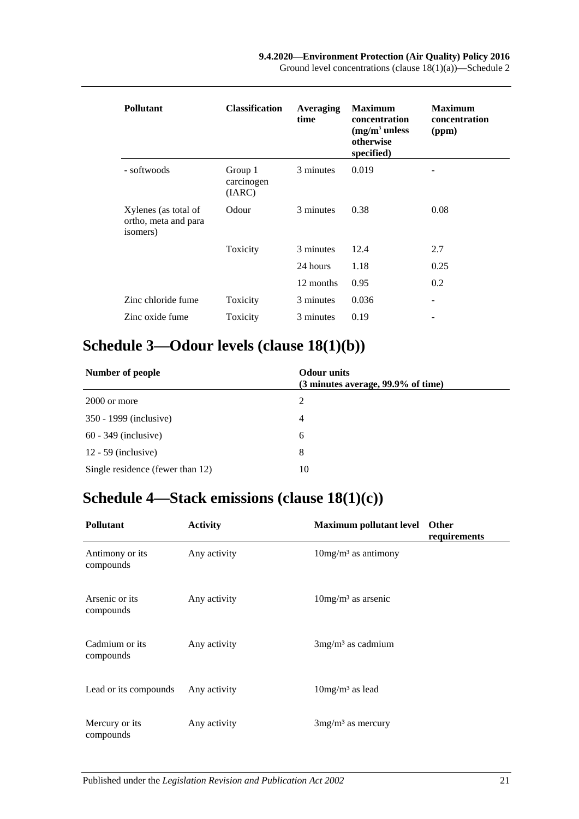| <b>Pollutant</b>                                         | <b>Classification</b>           | Averaging<br>time | <b>Maximum</b><br>concentration<br>$(mg/m3$ unless<br>otherwise<br>specified) | <b>Maximum</b><br>concentration<br>(ppm) |
|----------------------------------------------------------|---------------------------------|-------------------|-------------------------------------------------------------------------------|------------------------------------------|
| - softwoods                                              | Group 1<br>carcinogen<br>(IARC) | 3 minutes         | 0.019                                                                         |                                          |
| Xylenes (as total of<br>ortho, meta and para<br>isomers) | Odour                           | 3 minutes         | 0.38                                                                          | 0.08                                     |
|                                                          | Toxicity                        | 3 minutes         | 12.4                                                                          | 2.7                                      |
|                                                          |                                 | 24 hours          | 1.18                                                                          | 0.25                                     |
|                                                          |                                 | 12 months         | 0.95                                                                          | 0.2                                      |
| Zinc chloride fume                                       | Toxicity                        | 3 minutes         | 0.036                                                                         | ۰                                        |
| Zinc oxide fume                                          | Toxicity                        | 3 minutes         | 0.19                                                                          |                                          |

# <span id="page-20-0"></span>**Schedule 3—Odour levels (clause [18\(1\)\(b\)\)](#page-11-4)**

| Number of people                 | <b>Odour</b> units<br>(3 minutes average, 99.9% of time) |  |
|----------------------------------|----------------------------------------------------------|--|
| 2000 or more                     | 2                                                        |  |
| 350 - 1999 (inclusive)           | 4                                                        |  |
| $60 - 349$ (inclusive)           | 6                                                        |  |
| $12 - 59$ (inclusive)            | 8                                                        |  |
| Single residence (fewer than 12) | 10                                                       |  |

# <span id="page-20-1"></span>**Schedule 4—Stack emissions (clause [18\(1\)\(c\)\)](#page-12-1)**

| <b>Pollutant</b>             | <b>Activity</b> | <b>Maximum pollutant level</b>    | <b>Other</b><br>requirements |
|------------------------------|-----------------|-----------------------------------|------------------------------|
| Antimony or its<br>compounds | Any activity    | $10mg/m3$ as antimony             |                              |
| Arsenic or its<br>compounds  | Any activity    | $10$ mg/m <sup>3</sup> as arsenic |                              |
| Cadmium or its<br>compounds  | Any activity    | $3mg/m3$ as cadmium               |                              |
| Lead or its compounds        | Any activity    | $10mg/m3$ as lead                 |                              |
| Mercury or its<br>compounds  | Any activity    | $3mg/m3$ as mercury               |                              |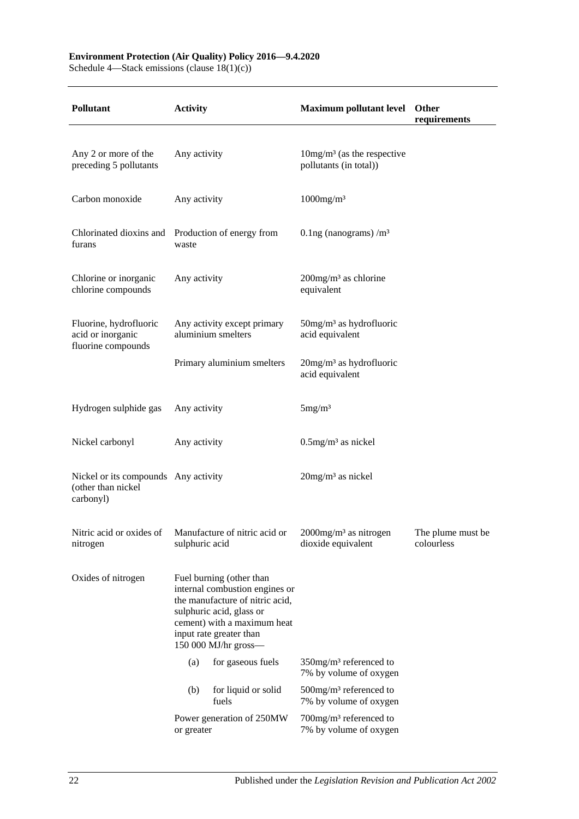#### **Environment Protection (Air Quality) Policy 2016—9.4.2020**

Schedule 4—Stack emissions (clause 18(1)(c))

| <b>Pollutant</b>                                                        | <b>Activity</b>                                                                                                                                                                                             |                                                   | Maximum pollutant level Other                                   | requirements                    |
|-------------------------------------------------------------------------|-------------------------------------------------------------------------------------------------------------------------------------------------------------------------------------------------------------|---------------------------------------------------|-----------------------------------------------------------------|---------------------------------|
|                                                                         |                                                                                                                                                                                                             |                                                   |                                                                 |                                 |
| Any 2 or more of the<br>preceding 5 pollutants                          | Any activity                                                                                                                                                                                                |                                                   | $10mg/m3$ (as the respective<br>pollutants (in total))          |                                 |
| Carbon monoxide                                                         | Any activity                                                                                                                                                                                                |                                                   | $1000$ mg/m <sup>3</sup>                                        |                                 |
| Chlorinated dioxins and Production of energy from<br>furans             | waste                                                                                                                                                                                                       |                                                   | 0.1ng (nanograms) $/m3$                                         |                                 |
| Chlorine or inorganic<br>chlorine compounds                             | Any activity                                                                                                                                                                                                |                                                   | $200$ mg/m <sup>3</sup> as chlorine<br>equivalent               |                                 |
| Fluorine, hydrofluoric<br>acid or inorganic<br>fluorine compounds       |                                                                                                                                                                                                             | Any activity except primary<br>aluminium smelters | $50$ mg/m <sup>3</sup> as hydrofluoric<br>acid equivalent       |                                 |
|                                                                         | Primary aluminium smelters                                                                                                                                                                                  |                                                   | $20$ mg/m <sup>3</sup> as hydrofluoric<br>acid equivalent       |                                 |
| Hydrogen sulphide gas                                                   | Any activity                                                                                                                                                                                                |                                                   | 5mg/m <sup>3</sup>                                              |                                 |
| Nickel carbonyl                                                         | Any activity                                                                                                                                                                                                |                                                   | $0.5$ mg/m <sup>3</sup> as nickel                               |                                 |
| Nickel or its compounds Any activity<br>(other than nickel<br>carbonyl) |                                                                                                                                                                                                             |                                                   | $20$ mg/m <sup>3</sup> as nickel                                |                                 |
| Nitric acid or oxides of<br>nitrogen                                    | sulphuric acid                                                                                                                                                                                              | Manufacture of nitric acid or                     | 2000mg/m <sup>3</sup> as nitrogen<br>dioxide equivalent         | The plume must be<br>colourless |
| Oxides of nitrogen                                                      | Fuel burning (other than<br>internal combustion engines or<br>the manufacture of nitric acid,<br>sulphuric acid, glass or<br>cement) with a maximum heat<br>input rate greater than<br>150 000 MJ/hr gross- |                                                   |                                                                 |                                 |
|                                                                         | (a)                                                                                                                                                                                                         | for gaseous fuels                                 | $350$ mg/m <sup>3</sup> referenced to<br>7% by volume of oxygen |                                 |
|                                                                         | (b)                                                                                                                                                                                                         | for liquid or solid<br>fuels                      | $500$ mg/m <sup>3</sup> referenced to<br>7% by volume of oxygen |                                 |
|                                                                         | or greater                                                                                                                                                                                                  | Power generation of 250MW                         | $700$ mg/m <sup>3</sup> referenced to<br>7% by volume of oxygen |                                 |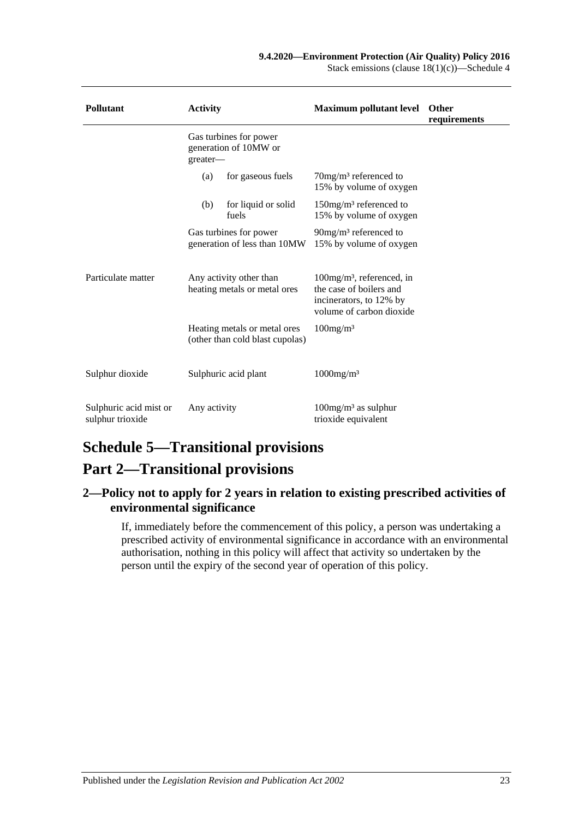Stack emissions (clause 18(1)(c))—Schedule 4

| <b>Pollutant</b>                           | <b>Activity</b>                                             |                                                                 | <b>Maximum pollutant level</b>                                                                                             | <b>Other</b><br>requirements |
|--------------------------------------------|-------------------------------------------------------------|-----------------------------------------------------------------|----------------------------------------------------------------------------------------------------------------------------|------------------------------|
|                                            | Gas turbines for power<br>generation of 10MW or<br>greater- |                                                                 |                                                                                                                            |                              |
|                                            | (a)                                                         | for gaseous fuels                                               | $70$ mg/m <sup>3</sup> referenced to<br>15% by volume of oxygen                                                            |                              |
|                                            | (b)                                                         | for liquid or solid<br>fuels                                    | $150$ mg/m <sup>3</sup> referenced to<br>15% by volume of oxygen                                                           |                              |
|                                            |                                                             | Gas turbines for power<br>generation of less than 10MW          | $90mg/m3$ referenced to<br>15% by volume of oxygen                                                                         |                              |
| Particulate matter                         |                                                             | Any activity other than<br>heating metals or metal ores         | $100$ mg/m <sup>3</sup> , referenced, in<br>the case of boilers and<br>incinerators, to 12% by<br>volume of carbon dioxide |                              |
|                                            |                                                             | Heating metals or metal ores<br>(other than cold blast cupolas) | $100$ mg/m <sup>3</sup>                                                                                                    |                              |
| Sulphur dioxide                            |                                                             | Sulphuric acid plant                                            | $1000$ mg/m <sup>3</sup>                                                                                                   |                              |
| Sulphuric acid mist or<br>sulphur trioxide | Any activity                                                |                                                                 | $100mg/m3$ as sulphur<br>trioxide equivalent                                                                               |                              |

# <span id="page-22-0"></span>**Schedule 5—Transitional provisions**

# **Part 2—Transitional provisions**

## <span id="page-22-1"></span>**2—Policy not to apply for 2 years in relation to existing prescribed activities of environmental significance**

If, immediately before the commencement of this policy, a person was undertaking a prescribed activity of environmental significance in accordance with an environmental authorisation, nothing in this policy will affect that activity so undertaken by the person until the expiry of the second year of operation of this policy.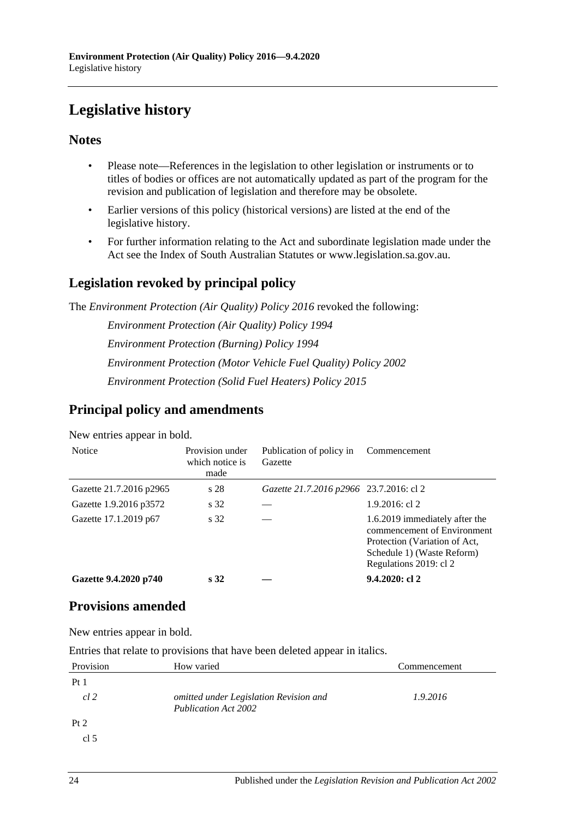# <span id="page-23-0"></span>**Legislative history**

## **Notes**

- Please note—References in the legislation to other legislation or instruments or to titles of bodies or offices are not automatically updated as part of the program for the revision and publication of legislation and therefore may be obsolete.
- Earlier versions of this policy (historical versions) are listed at the end of the legislative history.
- For further information relating to the Act and subordinate legislation made under the Act see the Index of South Australian Statutes or www.legislation.sa.gov.au.

## **Legislation revoked by principal policy**

The *Environment Protection (Air Quality) Policy 2016* revoked the following:

*Environment Protection (Air Quality) Policy 1994 Environment Protection (Burning) Policy 1994 Environment Protection (Motor Vehicle Fuel Quality) Policy 2002 Environment Protection (Solid Fuel Heaters) Policy 2015*

## **Principal policy and amendments**

| <b>Notice</b>           | Provision under<br>which notice is<br>made | Publication of policy in<br>Gazette     | Commencement                                                                                                                                           |  |
|-------------------------|--------------------------------------------|-----------------------------------------|--------------------------------------------------------------------------------------------------------------------------------------------------------|--|
| Gazette 21.7.2016 p2965 | s 28                                       | Gazette 21.7.2016 p2966 23.7.2016: cl 2 |                                                                                                                                                        |  |
| Gazette 1.9.2016 p3572  | s 32                                       |                                         | $1.9.2016$ : cl 2                                                                                                                                      |  |
| Gazette 17.1.2019 p67   | s 32                                       |                                         | 1.6.2019 immediately after the<br>commencement of Environment<br>Protection (Variation of Act,<br>Schedule 1) (Waste Reform)<br>Regulations 2019: cl 2 |  |
| Gazette 9.4.2020 p740   | s <sub>32</sub>                            |                                         | $9.4.2020:$ cl 2                                                                                                                                       |  |

New entries appear in bold.

## **Provisions amended**

New entries appear in bold.

Entries that relate to provisions that have been deleted appear in italics.

| Provision       | How varied                                                            | Commencement |  |
|-----------------|-----------------------------------------------------------------------|--------------|--|
| Pt1             |                                                                       |              |  |
| cl <sub>2</sub> | omitted under Legislation Revision and<br><b>Publication Act 2002</b> | 1.9.2016     |  |
| Pt 2            |                                                                       |              |  |
| cl <sub>5</sub> |                                                                       |              |  |